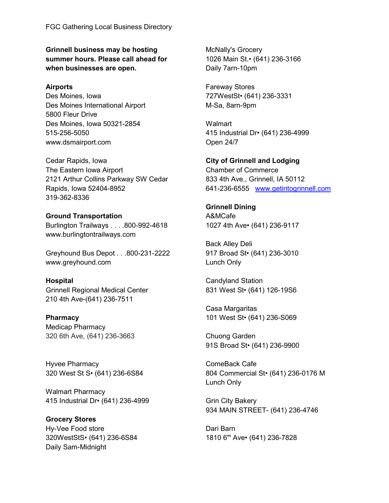Grinnell business may be hosting summer hours. Please call ahead for when businesses are open.

### Airports

Des Moines, Iowa Des Moines International Airport 5800 Fleur Drive Des Moines, Iowa 50321-2854 515-256-5050 www.dsmairport.com

Cedar Rapids, Iowa The Eastern Iowa Airport 2121 Arthur Collins Parkway SW Cedar Rapids, Iowa 52404-8952 319-362-8336

# Ground Transportation

Burlington Trailways . . . .800-992-4618 www.burlingtontrailways.com

Greyhound Bus Depot . . .800-231-2222 www.greyhound.com

### Hospital

Grinnell Regional Medical Center 210 4th Ave-(641) 236-7511

### Pharmacy

Medicap Pharmacy 320 6th Ave, (641) 236-3663

Hyvee Pharmacy 320 West St S• (641) 236-6S84

Walmart Pharmacy 415 Industrial Dr• (641) 236-4999

Grocery Stores Hy-Vee Food store 320WestStS• (641) 236-6S84 Daily Sam-Midnight

McNally's Grocery 1026 Main St.• (641) 236-3166 Daily 7arn-10pm

Fareway Stores 727WestSt• (641) 236-3331 M-Sa, 8arn-9pm

**Walmart** 415 Industrial Dr• (641) 236-4999 Open 24/7

City of Grinnell and Lodging Chamber of Commerce 833 4th Ave., Grinnell, IA 50112 641-236-6555 www.getintogrinnell.com

# Grinnell Dining

A&MCafe 1027 4th Ave• (641) 236-9117

Back Alley Deli 917 Broad St• (641) 236-3010 Lunch Only

Candyland Station 831 West St• (641) 126-19S6

Casa Margaritas 101 West St• (641) 236-S069

Chuong Garden 91S Broad St• (641) 236-9900

ComeBack Cafe 804 Commercial St• (641) 236-0176 M Lunch Only

Grin City Bakery 934 MAIN STREET- (641) 236-4746

Dari Barn 1810 6"' Ave• (641) 236-7828